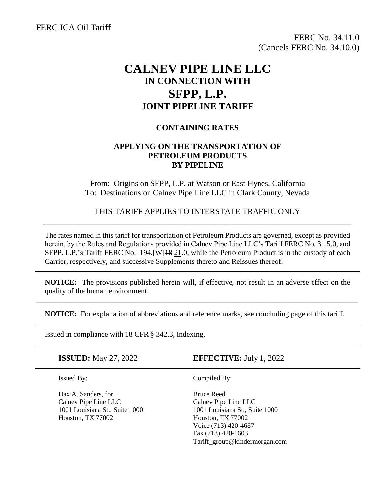FERC ICA Oil Tariff

FERC No. 34.11.0 (Cancels FERC No. 34.10.0)

## **CALNEV PIPE LINE LLC IN CONNECTION WITH SFPP, L.P. JOINT PIPELINE TARIFF**

## **CONTAINING RATES**

## **APPLYING ON THE TRANSPORTATION OF PETROLEUM PRODUCTS BY PIPELINE**

From: Origins on SFPP, L.P. at Watson or East Hynes, California To: Destinations on Calnev Pipe Line LLC in Clark County, Nevada

THIS TARIFF APPLIES TO INTERSTATE TRAFFIC ONLY \_\_\_\_\_\_\_\_\_\_\_\_\_\_\_\_\_\_\_\_\_\_\_\_\_\_\_\_\_\_\_\_\_\_\_\_\_\_\_\_\_\_\_\_\_\_\_\_\_\_\_\_\_\_\_\_\_\_\_\_\_\_\_\_\_\_\_\_\_\_\_\_\_\_\_\_

The rates named in this tariff for transportation of Petroleum Products are governed, except as provided herein, by the Rules and Regulations provided in Calnev Pipe Line LLC's Tariff FERC No. 31.5.0, and SFPP, L.P.'s Tariff FERC No. 194.[W]18 21.0, while the Petroleum Product is in the custody of each Carrier, respectively, and successive Supplements thereto and Reissues thereof.

**NOTICE:** The provisions published herein will, if effective, not result in an adverse effect on the quality of the human environment.

\_\_\_\_\_\_\_\_\_\_\_\_\_\_\_\_\_\_\_\_\_\_\_\_\_\_\_\_\_\_\_\_\_\_\_\_\_\_\_\_\_\_\_\_\_\_\_\_\_\_\_\_\_\_\_\_\_\_\_\_\_\_\_\_\_\_\_\_\_\_\_\_\_\_\_\_\_\_\_\_\_\_\_\_\_\_

**NOTICE:** For explanation of abbreviations and reference marks, see concluding page of this tariff.

Issued in compliance with 18 CFR § 342.3, Indexing.

**ISSUED:** May 27, 2022 **EFFECTIVE:** July 1, 2022

ī

Dax A. Sanders, for Bruce Reed Calnev Pipe Line LLC Calnev Pipe Line LLC 1001 Louisiana St., Suite 1000 1001 Louisiana St., Suite 1000 Houston, TX 77002 Houston, TX 77002

Issued By: Compiled By:

Voice (713) 420-4687 Fax (713) 420-1603 Tariff\_group@kindermorgan.com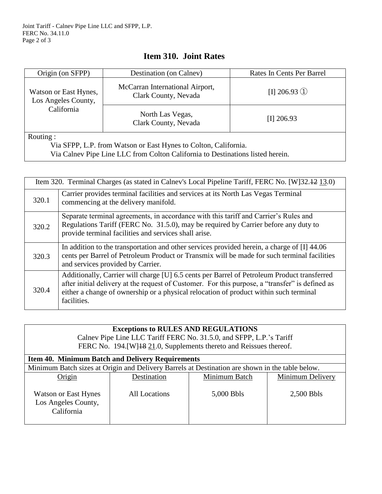| Origin (on SFPP)                                                                                                                                  | Destination (on Calnev)                                 | Rates In Cents Per Barrel |  |  |  |
|---------------------------------------------------------------------------------------------------------------------------------------------------|---------------------------------------------------------|---------------------------|--|--|--|
| Watson or East Hynes,<br>Los Angeles County,                                                                                                      | McCarran International Airport,<br>Clark County, Nevada | $\Pi$ 206.93 ①            |  |  |  |
| California                                                                                                                                        | North Las Vegas,<br>Clark County, Nevada                | $[I]$ 206.93              |  |  |  |
| Routing:                                                                                                                                          |                                                         |                           |  |  |  |
| Via SFPP, L.P. from Watson or East Hynes to Colton, California.<br>Via Calnev Pipe Line LLC from Colton California to Destinations listed herein. |                                                         |                           |  |  |  |

## **Item 310. Joint Rates**

| Item 320. Terminal Charges (as stated in Calnev's Local Pipeline Tariff, FERC No. [W]32.42 13.0) |                                                                                                                                                                                                                                                                                                        |  |  |
|--------------------------------------------------------------------------------------------------|--------------------------------------------------------------------------------------------------------------------------------------------------------------------------------------------------------------------------------------------------------------------------------------------------------|--|--|
| 320.1                                                                                            | Carrier provides terminal facilities and services at its North Las Vegas Terminal<br>commencing at the delivery manifold.                                                                                                                                                                              |  |  |
| 320.2                                                                                            | Separate terminal agreements, in accordance with this tariff and Carrier's Rules and<br>Regulations Tariff (FERC No. 31.5.0), may be required by Carrier before any duty to<br>provide terminal facilities and services shall arise.                                                                   |  |  |
| 320.3                                                                                            | In addition to the transportation and other services provided herein, a charge of [I] 44.06<br>cents per Barrel of Petroleum Product or Transmix will be made for such terminal facilities<br>and services provided by Carrier.                                                                        |  |  |
| 320.4                                                                                            | Additionally, Carrier will charge [U] 6.5 cents per Barrel of Petroleum Product transferred<br>after initial delivery at the request of Customer. For this purpose, a "transfer" is defined as<br>either a change of ownership or a physical relocation of product within such terminal<br>facilities. |  |  |

| <b>Exceptions to RULES AND REGULATIONS</b><br>Calnev Pipe Line LLC Tariff FERC No. 31.5.0, and SFPP, L.P.'s Tariff<br>FERC No. 194. [W] 18 21.0, Supplements thereto and Reissues thereof. |                      |               |                  |  |  |
|--------------------------------------------------------------------------------------------------------------------------------------------------------------------------------------------|----------------------|---------------|------------------|--|--|
| <b>Item 40. Minimum Batch and Delivery Requirements</b>                                                                                                                                    |                      |               |                  |  |  |
| Minimum Batch sizes at Origin and Delivery Barrels at Destination are shown in the table below.                                                                                            |                      |               |                  |  |  |
| Origin                                                                                                                                                                                     | Destination          | Minimum Batch | Minimum Delivery |  |  |
| <b>Watson or East Hynes</b><br>Los Angeles County,<br>California                                                                                                                           | <b>All Locations</b> | 5,000 Bbls    | 2,500 Bbls       |  |  |